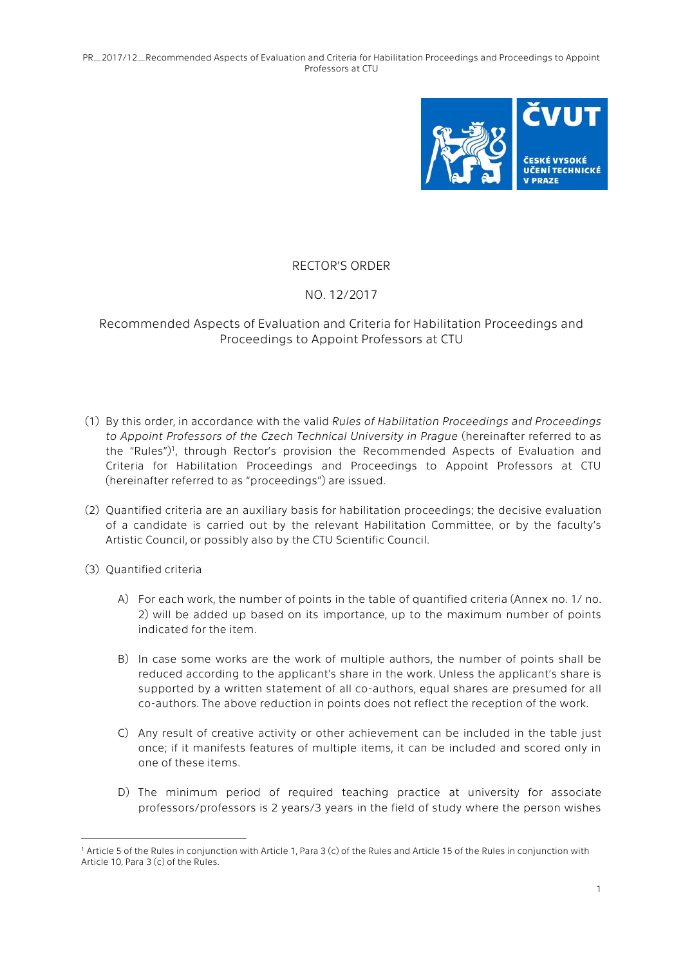PR\_2017/12\_Recommended Aspects of Evaluation and Criteria for Habilitation Proceedings and Proceedings to Appoint Professors at CTU



## RECTOR'S ORDER

## NO. 12/2017

## Recommended Aspects of Evaluation and Criteria for Habilitation Proceedings and Proceedings to Appoint Professors at CTU

- (1) By this order, in accordance with the valid *Rules of Habilitation Proceedings and Proceedings to Appoint Professors of the Czech Technical University in Prague* (hereinafter referred to as the "Rules")<sup>1</sup>, through Rector's provision the Recommended Aspects of Evaluation and Criteria for Habilitation Proceedings and Proceedings to Appoint Professors at CTU (hereinafter referred to as "proceedings") are issued.
- (2) Quantified criteria are an auxiliary basis for habilitation proceedings; the decisive evaluation of a candidate is carried out by the relevant Habilitation Committee, or by the faculty's Artistic Council, or possibly also by the CTU Scientific Council.
- (3) Quantified criteria

1

- A) For each work, the number of points in the table of quantified criteria (Annex no. 1/ no. 2) will be added up based on its importance, up to the maximum number of points indicated for the item.
- B) In case some works are the work of multiple authors, the number of points shall be reduced according to the applicant's share in the work. Unless the applicant's share is supported by a written statement of all co-authors, equal shares are presumed for all co-authors. The above reduction in points does not reflect the reception of the work.
- C) Any result of creative activity or other achievement can be included in the table just once; if it manifests features of multiple items, it can be included and scored only in one of these items.
- D) The minimum period of required teaching practice at university for associate professors/professors is 2 years/3 years in the field of study where the person wishes

<sup>1</sup> Article 5 of the Rules in conjunction with Article 1, Para 3 (c) of the Rules and Article 15 of the Rules in conjunction with Article 10, Para 3 (c) of the Rules.